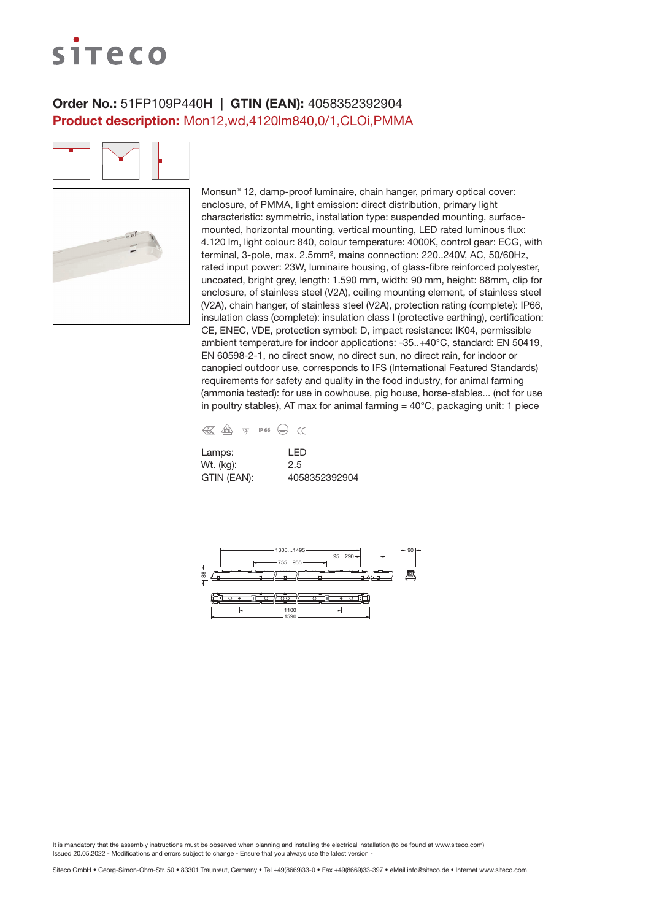# siteco

## Order No.: 51FP109P440H | GTIN (EAN): 4058352392904 Product description: Mon12,wd,4120lm840,0/1,CLOi,PMMA

Monsun® 12, damp-proof luminaire, chain hanger, primary optical cover: enclosure, of PMMA, light emission: direct distribution, primary light characteristic: symmetric, installation type: suspended mounting, surfacemounted, horizontal mounting, vertical mounting, LED rated luminous flux: 4.120 lm, light colour: 840, colour temperature: 4000K, control gear: ECG, with terminal, 3-pole, max. 2.5mm², mains connection: 220..240V, AC, 50/60Hz, rated input power: 23W, luminaire housing, of glass-fibre reinforced polyester, uncoated, bright grey, length: 1.590 mm, width: 90 mm, height: 88mm, clip for enclosure, of stainless steel (V2A), ceiling mounting element, of stainless steel (V2A), chain hanger, of stainless steel (V2A), protection rating (complete): IP66, insulation class (complete): insulation class I (protective earthing), certification: CE, ENEC, VDE, protection symbol: D, impact resistance: IK04, permissible ambient temperature for indoor applications: -35..+40°C, standard: EN 50419, EN 60598-2-1, no direct snow, no direct sun, no direct rain, for indoor or canopied outdoor use, corresponds to IFS (International Featured Standards) requirements for safety and quality in the food industry, for animal farming (ammonia tested): for use in cowhouse, pig house, horse-stables... (not for use in poultry stables), AT max for animal farming  $=$  40 $^{\circ}$ C, packaging unit: 1 piece



| Lamps:      | I FD          |
|-------------|---------------|
| Wt. (kg):   | 2.5           |
| GTIN (EAN): | 4058352392904 |

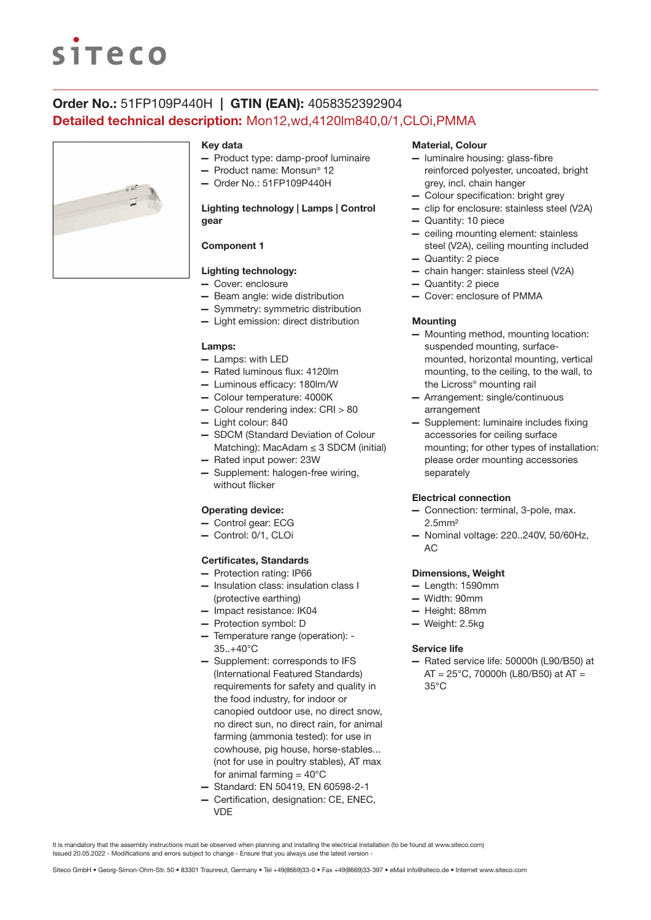# **siteco**

## Order No.: 51FP109P440H | GTIN (EAN): 4058352392904 Detailed technical description: Mon12,wd,4120lm840,0/1,CLOi,PMMA



#### Key data

- Product type: damp-proof luminaire
- Product name: Monsun® 12
- Order No.: 51FP109P440H

### Lighting technology | Lamps | Control gear

### Component 1

### Lighting technology:

- Cover: enclosure
- Beam angle: wide distribution
- Symmetry: symmetric distribution
- Light emission: direct distribution

#### Lamps:

- Lamps: with LED
- Rated luminous flux: 4120lm
- Luminous efficacy: 180lm/W
- Colour temperature: 4000K
- Colour rendering index: CRI > 80
- Light colour: 840
- SDCM (Standard Deviation of Colour Matching): MacAdam ≤ 3 SDCM (initial)
- Rated input power: 23W
- Supplement: halogen-free wiring, without flicker

#### Operating device:

- Control gear: ECG
- Control: 0/1, CLOi

#### Certificates, Standards

- Protection rating: IP66
- Insulation class: insulation class I (protective earthing)
- Impact resistance: IK04
- Protection symbol: D
- Temperature range (operation): 35..+40°C
- Supplement: corresponds to IFS (International Featured Standards) requirements for safety and quality in the food industry, for indoor or canopied outdoor use, no direct snow, no direct sun, no direct rain, for animal farming (ammonia tested): for use in cowhouse, pig house, horse-stables... (not for use in poultry stables), AT max for animal farming  $= 40^{\circ}$ C
- Standard: EN 50419, EN 60598-2-1
- Certification, designation: CE, ENEC, VDE

#### Material, Colour

- luminaire housing: glass-fibre reinforced polyester, uncoated, bright grey, incl. chain hanger
- Colour specification: bright grey
- clip for enclosure: stainless steel (V2A)
- Quantity: 10 piece
- ceiling mounting element: stainless steel (V2A), ceiling mounting included
- Quantity: 2 piece
- chain hanger: stainless steel (V2A)
- Quantity: 2 piece
- Cover: enclosure of PMMA

#### **Mounting**

- Mounting method, mounting location: suspended mounting, surfacemounted, horizontal mounting, vertical mounting, to the ceiling, to the wall, to the Licross® mounting rail
- Arrangement: single/continuous arrangement
- Supplement: luminaire includes fixing accessories for ceiling surface mounting; for other types of installation: please order mounting accessories separately

#### Electrical connection

- Connection: terminal, 3-pole, max. 2.5mm²
- Nominal voltage: 220..240V, 50/60Hz, AC

#### Dimensions, Weight

- Length: 1590mm
- Width: 90mm
- Height: 88mm
- Weight: 2.5kg

#### Service life

— Rated service life: 50000h (L90/B50) at  $AT = 25^{\circ}$ C, 70000h (L80/B50) at AT = 35°C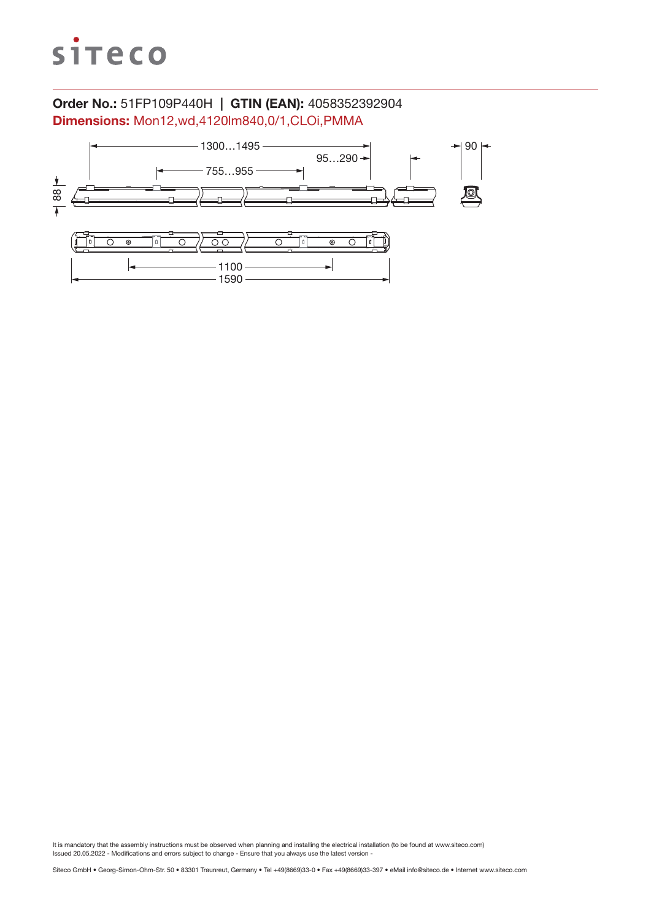

## Order No.: 51FP109P440H | GTIN (EAN): 4058352392904 Dimensions: Mon12,wd,4120lm840,0/1,CLOi,PMMA